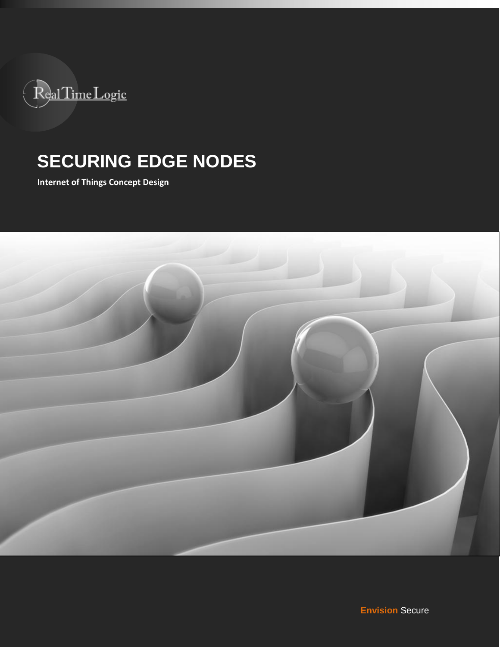

# **SECURING EDGE NODES Internet of Things SECURING EDGE NODES Design Concepts**

**Internet of Things Concept Design**

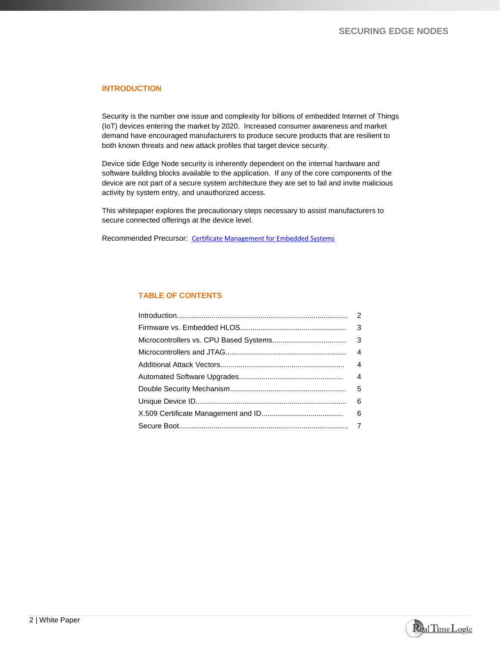# **INTRODUCTION**

Security is the number one issue and complexity for billions of embedded Internet of Things (IoT) devices entering the market by 2020. Increased consumer awareness and market demand have encouraged manufacturers to produce secure products that are resilient to both known threats and new attack profiles that target device security.

Device side Edge Node security is inherently dependent on the internal hardware and software building blocks available to the application. If any of the core components of the device are not part of a secure system architecture they are set to fail and invite malicious activity by system entry, and unauthorized access.

This whitepaper explores the precautionary steps necessary to assist manufacturers to secure connected offerings at the device level.

Recommended Precursor: [Certificate Management for Embedded Systems](https://realtimelogic.com/blog/2013/10/Certificate-Management-for-Embedded-Systems)

# **TABLE OF CONTENTS**

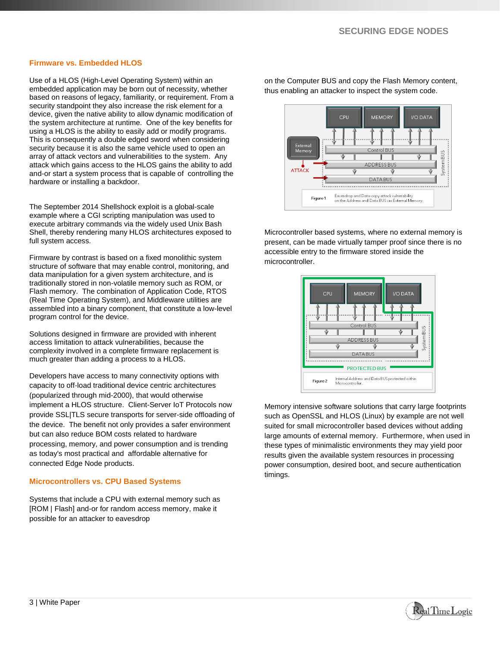#### **Firmware vs. Embedded HLOS**

Use of a HLOS (High-Level Operating System) within an embedded application may be born out of necessity, whether based on reasons of legacy, familiarity, or requirement. From a security standpoint they also increase the risk element for a device, given the native ability to allow dynamic modification of the system architecture at runtime. One of the key benefits for using a HLOS is the ability to easily add or modify programs. This is consequently a double edged sword when considering security because it is also the same vehicle used to open an array of attack vectors and vulnerabilities to the system. Any attack which gains access to the HLOS gains the ability to add and-or start a system process that is capable of controlling the hardware or installing a backdoor.

The September 2014 Shellshock exploit is a global-scale example where a CGI scripting manipulation was used to execute arbitrary commands via the widely used Unix Bash Shell, thereby rendering many HLOS architectures exposed to full system access.

Firmware by contrast is based on a fixed monolithic system structure of software that may enable control, monitoring, and data manipulation for a given system architecture, and is traditionally stored in non-volatile memory such as ROM, or Flash memory. The combination of Application Code, RTOS (Real Time Operating System), and Middleware utilities are assembled into a binary component, that constitute a low-level program control for the device.

Solutions designed in firmware are provided with inherent access limitation to attack vulnerabilities, because the complexity involved in a complete firmware replacement is much greater than adding a process to a HLOS.

Developers have access to many connectivity options with capacity to off-load traditional device centric architectures (popularized through mid-2000), that would otherwise implement a HLOS structure. Client-Server IoT Protocols now provide SSL|TLS secure transports for server-side offloading of the device. The benefit not only provides a safer environment but can also reduce BOM costs related to hardware processing, memory, and power consumption and is trending as today's most practical and affordable alternative for connected Edge Node products.

#### **Microcontrollers vs. CPU Based Systems**

Systems that include a CPU with external memory such as [ROM | Flash] and-or for random access memory, make it possible for an attacker to eavesdrop

on the Computer BUS and copy the Flash Memory content, thus enabling an attacker to inspect the system code.



Microcontroller based systems, where no external memory is present, can be made virtually tamper proof since there is no accessible entry to the firmware stored inside the microcontroller.



Memory intensive software solutions that carry large footprints such as OpenSSL and HLOS (Linux) by example are not well suited for small microcontroller based devices without adding large amounts of external memory. Furthermore, when used in these types of minimalistic environments they may yield poor results given the available system resources in processing power consumption, desired boot, and secure authentication timings.

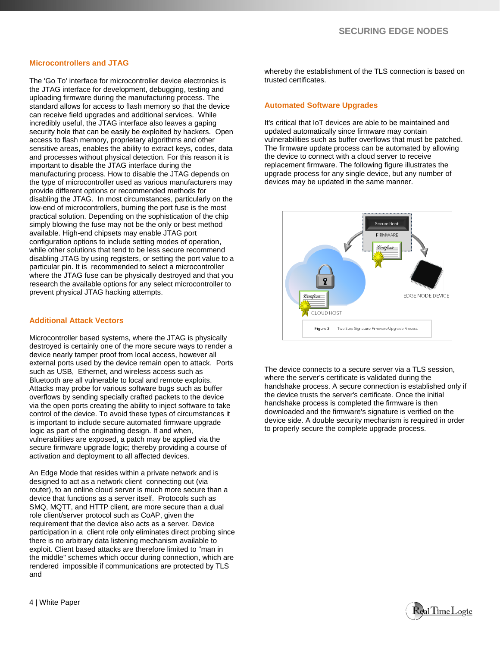### **Microcontrollers and JTAG**

The 'Go To' interface for microcontroller device electronics is the JTAG interface for development, debugging, testing and uploading firmware during the manufacturing process. The standard allows for access to flash memory so that the device can receive field upgrades and additional services. While incredibly useful, the JTAG interface also leaves a gaping security hole that can be easily be exploited by hackers. Open access to flash memory, proprietary algorithms and other sensitive areas, enables the ability to extract keys, codes, data and processes without physical detection. For this reason it is important to disable the JTAG interface during the manufacturing process. How to disable the JTAG depends on the type of microcontroller used as various manufacturers may provide different options or recommended methods for disabling the JTAG. In most circumstances, particularly on the low-end of microcontrollers, burning the port fuse is the most practical solution. Depending on the sophistication of the chip simply blowing the fuse may not be the only or best method available. High-end chipsets may enable JTAG port configuration options to include setting modes of operation, while other solutions that tend to be less secure recommend disabling JTAG by using registers, or setting the port value to a particular pin. It is recommended to select a microcontroller where the JTAG fuse can be physically destroyed and that you research the available options for any select microcontroller to prevent physical JTAG hacking attempts.

### **Additional Attack Vectors**

Microcontroller based systems, where the JTAG is physically destroyed is certainly one of the more secure ways to render a device nearly tamper proof from local access, however all external ports used by the device remain open to attack. Ports such as USB, Ethernet, and wireless access such as Bluetooth are all vulnerable to local and remote exploits. Attacks may probe for various software bugs such as buffer overflows by sending specially crafted packets to the device via the open ports creating the ability to inject software to take control of the device. To avoid these types of circumstances it is important to include secure automated firmware upgrade logic as part of the originating design. If and when, vulnerabilities are exposed, a patch may be applied via the secure firmware upgrade logic; thereby providing a course of activation and deployment to all affected devices.

An Edge Mode that resides within a private network and is designed to act as a network client connecting out (via router), to an online cloud server is much more secure than a device that functions as a server itself. Protocols such as SMQ, MQTT, and HTTP client, are more secure than a dual role client/server protocol such as CoAP, given the requirement that the device also acts as a server. Device participation in a client role only eliminates direct probing since there is no arbitrary data listening mechanism available to exploit. Client based attacks are therefore limited to "man in the middle" schemes which occur during connection, which are rendered impossible if communications are protected by TLS and

whereby the establishment of the TLS connection is based on trusted certificates.

### **Automated Software Upgrades**

It's critical that IoT devices are able to be maintained and updated automatically since firmware may contain vulnerabilities such as buffer overflows that must be patched. The firmware update process can be automated by allowing the device to connect with a cloud server to receive replacement firmware. The following figure illustrates the upgrade process for any single device, but any number of devices may be updated in the same manner.



The device connects to a secure server via a TLS session, where the server's certificate is validated during the handshake process. A secure connection is established only if the device trusts the server's certificate. Once the initial handshake process is completed the firmware is then downloaded and the firmware's signature is verified on the device side. A double security mechanism is required in order to properly secure the complete upgrade process.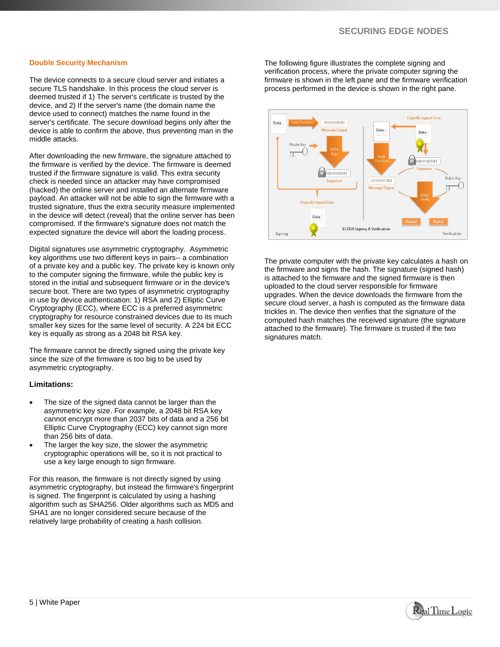### **Double Security Mechanism**

The device connects to a secure cloud server and initiates a secure TLS handshake. In this process the cloud server is deemed trusted if 1) The server's certificate is trusted by the device, and 2) If the server's name (the domain name the device used to connect) matches the name found in the server's certificate. The secure download begins only after the device is able to confirm the above, thus preventing man in the middle attacks.

After downloading the new firmware, the signature attached to the firmware is verified by the device. The firmware is deemed trusted if the firmware signature is valid. This extra security check is needed since an attacker may have compromised (hacked) the online server and installed an alternate firmware payload. An attacker will not be able to sign the firmware with a trusted signature, thus the extra security measure implemented in the device will detect (reveal) that the online server has been compromised. If the firmware's signature does not match the expected signature the device will abort the loading process.

Digital signatures use asymmetric cryptography. Asymmetric key algorithms use two different keys in pairs-- a combination of a private key and a public key. The private key is known only to the computer signing the firmware, while the public key is stored in the initial and subsequent firmware or in the device's secure boot. There are two types of asymmetric cryptography in use by device authentication: 1) RSA and 2) Elliptic Curve Cryptography (ECC), where ECC is a preferred asymmetric cryptography for resource constrained devices due to its much smaller key sizes for the same level of security. A 224 bit ECC key is equally as strong as a 2048 bit RSA key.

The firmware cannot be directly signed using the private key since the size of the firmware is too big to be used by asymmetric cryptography.

#### **Limitations:**

- The size of the signed data cannot be larger than the asymmetric key size. For example, a 2048 bit RSA key cannot encrypt more than 2037 bits of data and a 256 bit Elliptic Curve Cryptography (ECC) key cannot sign more than 256 bits of data.
- The larger the key size, the slower the asymmetric cryptographic operations will be, so it is not practical to use a key large enough to sign firmware.

For this reason, the firmware is not directly signed by using asymmetric cryptography, but instead the firmware's fingerprint is signed. The fingerprint is calculated by using a hashing algorithm such as SHA256. Older algorithms such as MD5 and SHA1 are no longer considered secure because of the relatively large probability of creating a hash collision.

The following figure illustrates the complete signing and verification process, where the private computer signing the firmware is shown in the left pane and the firmware verification process performed in the device is shown in the right pane.



The private computer with the private key calculates a hash on the firmware and signs the hash. The signature (signed hash) is attached to the firmware and the signed firmware is then uploaded to the cloud server responsible for firmware upgrades. When the device downloads the firmware from the secure cloud server, a hash is computed as the firmware data trickles in. The device then verifies that the signature of the computed hash matches the received signature (the signature attached to the firmware). The firmware is trusted if the two signatures match.

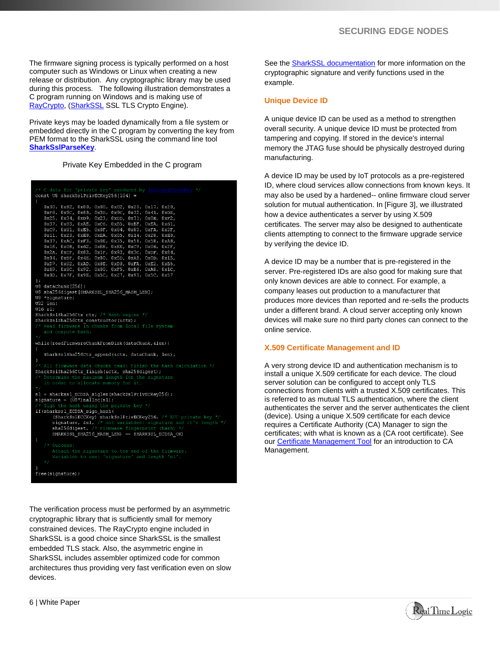The firmware signing process is typically performed on a host computer such as Windows or Linux when creating a new release or distribution. Any cryptographic library may be used during this process. The following illustration demonstrates a C program running on Windows and is making use of [RayCrypto,](https://realtimelogic.com/products/raycrypto/) [\(SharkSSL](https://realtimelogic.com/products/sharkssl/) SSL TLS Crypto Engine).

Private keys may be loaded dynamically from a file system or embedded directly in the C program by converting the key from PEM format to the SharkSSL using the command line tool **[SharkSslParseKey](https://realtimelogic.com/ba/doc/en/C/shark/md_md_Certificate_Management.html#SharkSslParseKey)**.

Private Key Embedded in the C program

 $\frac{1}{100}$  const U8 sharkSs1PrivECKey256[104] = 0x30, 0x82, 0x00, 0x00, 0x02, 0x20, 0x17, 0x20, 0xF6, 0x9C, 0x88, 0x3D, 0x9C, 0x32, 0x41, 0xDE,<br>0x25, 0x34, 0xD9, 0x23, 0xDD, 0x71, 0x0E, 0xF2, 0x237, 0x83, 0x2B, 0x2G, 0xD5, 0xBE, 0xEA, 0x61,<br>0x29, 0x83, 0x2B, 0x2G, 0xD5, 0xBE, 0xEA, 0x3F,<br>0x29, 0x81, 0xE8, 0xDF, 0x84, 0x83, 0xFA, 0x3F,<br>0x37, 0xAC, 0xF3, 0x0E, 0x35, 0x58, 0x58, 0xA8,<br>0x37, 0xAC, 0xF3, 0x62, 0x2B, 0x2A, 0xCF, 0x83, 0x1F, 0x93, 0x3C, 0xDF,  $0x84$ 0x24, 0x25, 0x4E, 0x8D, 0x5D, 0x3A, 0x0D, 0x15,<br>0x04, 0x2F, 0x4E, 0x8D, 0x5D, 0x88, 0x0D, 0x15,<br>0xD7, 0x02, 0xAD, 0x8E, 0xD0, 0xFA, 0xE2, 0xB5, 0x69, 0x8C, 0x92, 0x00, 0xF5, 0xB6, 0xA8,  $0x1C$ 0x0D, 0x7F, 0x9E, 0x5C, 0x27, 0x93, 0x5C, 0x57 U8 dataChunk[256];<br>U8 sha256digest[SHARKSSL\_SHA256\_HASH\_LEN];  $U8$  $\star$ signature;  $032$  len;  $U16$  sl; SharkSslSha256Ctx ctx; /\* Hash engine SharkSslSha256Ctx\_constructor(&ctx); in chunks from local file system firmware compute hash. while(readFirmwareChunkFromDisk(dataChunk, &len)) SharkSs1Sha256Ctx append (&ctx, dataChunk, len); SharkSslSha256Ctx finish(&ctx, sha256digest); in order to allocate memory for it.  $\verb|sl = sharks1_ECDSA_siglen(sharkSslPrivECKey256);$   $\verb|signature = \langle \overline{\text{U8*}} \rangle \text{malloc}(\texttt{sl}) ;$ if(sharkssl\_ECDSA\_sign\_hash( (SharkSslECCKey) sharkSslPrivECKey256, /\* ECC private key \*/ signature, as1, /\* out variables: signature and it's length \*/<br>signature, as1, /\* out variables: signature and it's length \*/<br>sha256digest, /\* Firmware fingerprint (hash) \*/ sha256digest, /\* Firmware fingerprint (hash) \*/<br>SHARKSSL SHA256 HASH LEN) == SHARKSSL ECDSA OK) free(signature);

The verification process must be performed by an asymmetric cryptographic library that is sufficiently small for memory constrained devices. The RayCrypto engine included in SharkSSL is a good choice since SharkSSL is the smallest embedded TLS stack. Also, the asymmetric engine in SharkSSL includes assembler optimized code for common architectures thus providing very fast verification even on slow devices.

See th[e SharkSSL documentation](https://realtimelogic.com/ba/doc/en/C/shark/group__ECDSA.html) for more information on the cryptographic signature and verify functions used in the example.

## **Unique Device ID**

A unique device ID can be used as a method to strengthen overall security. A unique device ID must be protected from tampering and copying. If stored in the device's internal memory the JTAG fuse should be physically destroyed during manufacturing.

A device ID may be used by IoT protocols as a pre-registered ID, where cloud services allow connections from known keys. It may also be used by a hardened-- online firmware cloud server solution for mutual authentication. In [Figure 3], we illustrated how a device authenticates a server by using X.509 certificates. The server may also be designed to authenticate clients attempting to connect to the firmware upgrade service by verifying the device ID.

A device ID may be a number that is pre-registered in the server. Pre-registered IDs are also good for making sure that only known devices are able to connect. For example, a company leases out production to a manufacturer that produces more devices than reported and re-sells the products under a different brand. A cloud server accepting only known devices will make sure no third party clones can connect to the online service.

# **X.509 Certificate Management and ID**

A very strong device ID and authentication mechanism is to install a unique X.509 certificate for each device. The cloud server solution can be configured to accept only TLS connections from clients with a trusted X.509 certificates. This is referred to as mutual TLS authentication, where the client authenticates the server and the server authenticates the client (device). Using a unique X.509 certificate for each device requires a Certificate Authority (CA) Manager to sign the certificates; with what is known as a (CA root certificate). See ou[r Certificate Management Tool](https://realtimelogic.com/blog/2014/05/How-to-act-as-a-Certificate-Authority-the-Easy-Way) for an introduction to CA Management.